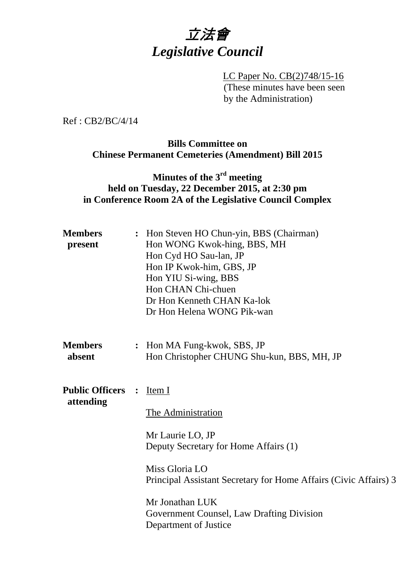

 LC Paper No. CB(2)748/15-16 (These minutes have been seen by the Administration)

Ref : CB2/BC/4/14

#### **Bills Committee on Chinese Permanent Cemeteries (Amendment) Bill 2015**

## **Minutes of the 3rd meeting held on Tuesday, 22 December 2015, at 2:30 pm in Conference Room 2A of the Legislative Council Complex**

| <b>Members</b><br>present           |                | : Hon Steven HO Chun-yin, BBS (Chairman)<br>Hon WONG Kwok-hing, BBS, MH<br>Hon Cyd HO Sau-lan, JP<br>Hon IP Kwok-him, GBS, JP<br>Hon YIU Si-wing, BBS<br>Hon CHAN Chi-chuen<br>Dr Hon Kenneth CHAN Ka-lok<br>Dr Hon Helena WONG Pik-wan                                  |
|-------------------------------------|----------------|--------------------------------------------------------------------------------------------------------------------------------------------------------------------------------------------------------------------------------------------------------------------------|
| <b>Members</b><br>absent            |                | : Hon MA Fung-kwok, SBS, JP<br>Hon Christopher CHUNG Shu-kun, BBS, MH, JP                                                                                                                                                                                                |
| <b>Public Officers</b><br>attending | $\ddot{\cdot}$ | Item I<br>The Administration<br>Mr Laurie LO, JP<br>Deputy Secretary for Home Affairs (1)<br>Miss Gloria LO<br>Principal Assistant Secretary for Home Affairs (Civic Affairs) 3<br>Mr Jonathan LUK<br>Government Counsel, Law Drafting Division<br>Department of Justice |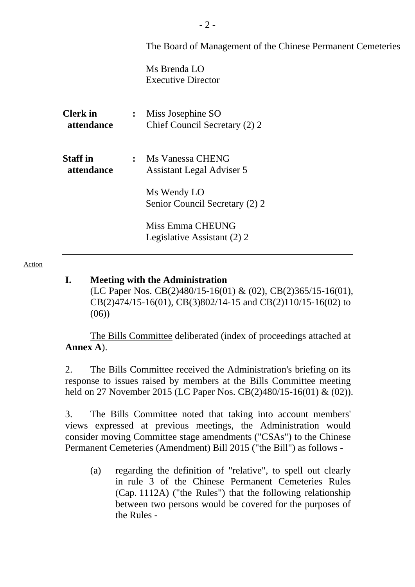|                               | The Board of Management of the Chinese Permanent Cemeteries            |  |
|-------------------------------|------------------------------------------------------------------------|--|
|                               | Ms Brenda LO<br><b>Executive Director</b>                              |  |
| <b>Clerk</b> in<br>attendance | Miss Josephine SO<br>$\ddot{\bullet}$<br>Chief Council Secretary (2) 2 |  |
| <b>Staff in</b><br>attendance | : Ms Vanessa CHENG<br><b>Assistant Legal Adviser 5</b>                 |  |
|                               | Ms Wendy LO<br>Senior Council Secretary (2) 2                          |  |
|                               | Miss Emma CHEUNG<br>Legislative Assistant (2) 2                        |  |
|                               |                                                                        |  |

#### Action

#### **I. Meeting with the Administration**

(LC Paper Nos. CB(2)480/15-16(01) & (02), CB(2)365/15-16(01), CB(2)474/15-16(01), CB(3)802/14-15 and CB(2)110/15-16(02) to (06))

 The Bills Committee deliberated (index of proceedings attached at **Annex A**).

2. The Bills Committee received the Administration's briefing on its response to issues raised by members at the Bills Committee meeting held on 27 November 2015 (LC Paper Nos. CB(2)480/15-16(01) & (02)).

3. The Bills Committee noted that taking into account members' views expressed at previous meetings, the Administration would consider moving Committee stage amendments ("CSAs") to the Chinese Permanent Cemeteries (Amendment) Bill 2015 ("the Bill") as follows -

(a) regarding the definition of "relative", to spell out clearly in rule 3 of the Chinese Permanent Cemeteries Rules (Cap. 1112A) ("the Rules") that the following relationship between two persons would be covered for the purposes of the Rules -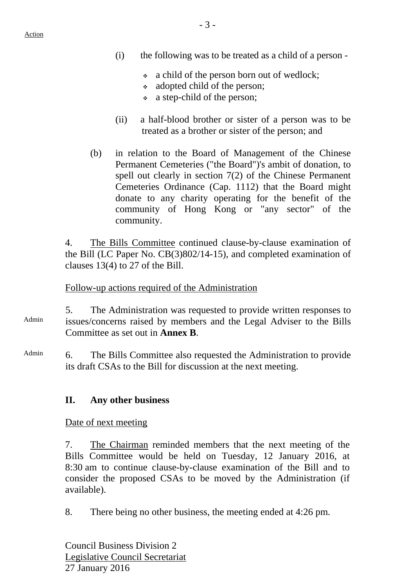- (i) the following was to be treated as a child of a person
	- a child of the person born out of wedlock;
	- adopted child of the person;
	- a step-child of the person;
- (ii) a half-blood brother or sister of a person was to be treated as a brother or sister of the person; and
- (b) in relation to the Board of Management of the Chinese Permanent Cemeteries ("the Board")'s ambit of donation, to spell out clearly in section 7(2) of the Chinese Permanent Cemeteries Ordinance (Cap. 1112) that the Board might donate to any charity operating for the benefit of the community of Hong Kong or "any sector" of the community.

4. The Bills Committee continued clause-by-clause examination of the Bill (LC Paper No. CB(3)802/14-15), and completed examination of clauses 13(4) to 27 of the Bill.

## Follow-up actions required of the Administration

- Admin 5. The Administration was requested to provide written responses to issues/concerns raised by members and the Legal Adviser to the Bills Committee as set out in **Annex B**.
- Admin 6. The Bills Committee also requested the Administration to provide its draft CSAs to the Bill for discussion at the next meeting.

## **II. Any other business**

Date of next meeting

7. The Chairman reminded members that the next meeting of the Bills Committee would be held on Tuesday, 12 January 2016, at 8:30 am to continue clause-by-clause examination of the Bill and to consider the proposed CSAs to be moved by the Administration (if available).

8. There being no other business, the meeting ended at 4:26 pm.

Council Business Division 2 Legislative Council Secretariat 27 January 2016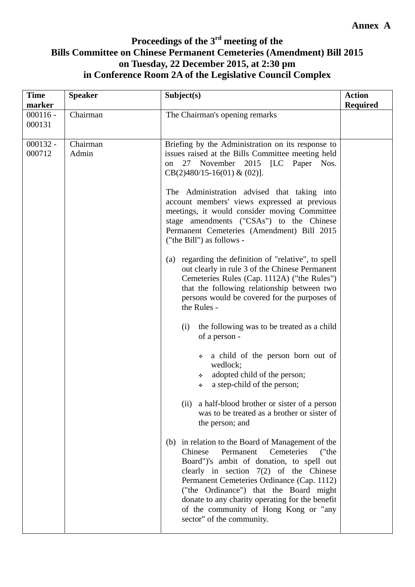# **Proceedings of the 3rd meeting of the Bills Committee on Chinese Permanent Cemeteries (Amendment) Bill 2015 on Tuesday, 22 December 2015, at 2:30 pm in Conference Room 2A of the Legislative Council Complex**

| <b>Time</b><br>marker | <b>Speaker</b>    | Subject(s)                                                                                                                                                                                                                                                                                                                                                                                                 | <b>Action</b><br><b>Required</b> |
|-----------------------|-------------------|------------------------------------------------------------------------------------------------------------------------------------------------------------------------------------------------------------------------------------------------------------------------------------------------------------------------------------------------------------------------------------------------------------|----------------------------------|
| $000116 -$<br>000131  | Chairman          | The Chairman's opening remarks                                                                                                                                                                                                                                                                                                                                                                             |                                  |
| $000132 -$<br>000712  | Chairman<br>Admin | Briefing by the Administration on its response to<br>issues raised at the Bills Committee meeting held<br>November 2015 [LC Paper Nos.<br>27<br>on<br>$CB(2)480/15-16(01) \& (02)$ ].                                                                                                                                                                                                                      |                                  |
|                       |                   | The Administration advised that taking into<br>account members' views expressed at previous<br>meetings, it would consider moving Committee<br>stage amendments ("CSAs") to the Chinese<br>Permanent Cemeteries (Amendment) Bill 2015<br>("the Bill") as follows -                                                                                                                                         |                                  |
|                       |                   | (a) regarding the definition of "relative", to spell<br>out clearly in rule 3 of the Chinese Permanent<br>Cemeteries Rules (Cap. 1112A) ("the Rules")<br>that the following relationship between two<br>persons would be covered for the purposes of<br>the Rules -                                                                                                                                        |                                  |
|                       |                   | the following was to be treated as a child<br>(i)<br>of a person -                                                                                                                                                                                                                                                                                                                                         |                                  |
|                       |                   | a child of the person born out of<br>❖<br>wedlock;<br>adopted child of the person;<br>❖<br>a step-child of the person;<br>٠                                                                                                                                                                                                                                                                                |                                  |
|                       |                   | (ii) a half-blood brother or sister of a person<br>was to be treated as a brother or sister of<br>the person; and                                                                                                                                                                                                                                                                                          |                                  |
|                       |                   | (b) in relation to the Board of Management of the<br>Chinese<br>Permanent<br>Cemeteries<br>("the<br>Board")'s ambit of donation, to spell out<br>clearly in section $7(2)$ of the Chinese<br>Permanent Cemeteries Ordinance (Cap. 1112)<br>("the Ordinance") that the Board might<br>donate to any charity operating for the benefit<br>of the community of Hong Kong or "any<br>sector" of the community. |                                  |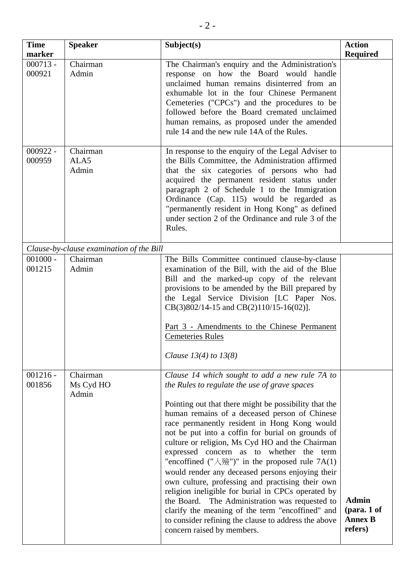| <b>Time</b><br>marker | <b>Speaker</b>                           | Subject(s)                                                                                                                                                                                                                                                                                                                                                                                                                                                                                                                                                                                                                                                                                                                                                                                                                                         | <b>Action</b><br><b>Required</b>                             |
|-----------------------|------------------------------------------|----------------------------------------------------------------------------------------------------------------------------------------------------------------------------------------------------------------------------------------------------------------------------------------------------------------------------------------------------------------------------------------------------------------------------------------------------------------------------------------------------------------------------------------------------------------------------------------------------------------------------------------------------------------------------------------------------------------------------------------------------------------------------------------------------------------------------------------------------|--------------------------------------------------------------|
| $000713 -$<br>000921  | Chairman<br>Admin                        | The Chairman's enquiry and the Administration's<br>response on how the Board would handle<br>unclaimed human remains disinterred from an<br>exhumable lot in the four Chinese Permanent<br>Cemeteries ("CPCs") and the procedures to be<br>followed before the Board cremated unclaimed<br>human remains, as proposed under the amended<br>rule 14 and the new rule 14A of the Rules.                                                                                                                                                                                                                                                                                                                                                                                                                                                              |                                                              |
| $000922 -$<br>000959  | Chairman<br>ALA5<br>Admin                | In response to the enquiry of the Legal Adviser to<br>the Bills Committee, the Administration affirmed<br>that the six categories of persons who had<br>acquired the permanent resident status under<br>paragraph 2 of Schedule 1 to the Immigration<br>Ordinance (Cap. 115) would be regarded as<br>"permanently resident in Hong Kong" as defined<br>under section 2 of the Ordinance and rule 3 of the<br>Rules.                                                                                                                                                                                                                                                                                                                                                                                                                                |                                                              |
|                       | Clause-by-clause examination of the Bill |                                                                                                                                                                                                                                                                                                                                                                                                                                                                                                                                                                                                                                                                                                                                                                                                                                                    |                                                              |
| $001000 -$<br>001215  | Chairman<br>Admin                        | The Bills Committee continued clause-by-clause<br>examination of the Bill, with the aid of the Blue<br>Bill and the marked-up copy of the relevant<br>provisions to be amended by the Bill prepared by<br>the Legal Service Division [LC Paper Nos.<br>$CB(3)802/14-15$ and $CB(2)110/15-16(02)$ ].<br>Part 3 - Amendments to the Chinese Permanent<br><b>Cemeteries Rules</b><br>Clause $13(4)$ to $13(8)$                                                                                                                                                                                                                                                                                                                                                                                                                                        |                                                              |
| $001216 -$<br>001856  | Chairman<br>Ms Cyd HO<br>Admin           | Clause 14 which sought to add a new rule 7A to<br>the Rules to regulate the use of grave spaces<br>Pointing out that there might be possibility that the<br>human remains of a deceased person of Chinese<br>race permanently resident in Hong Kong would<br>not be put into a coffin for burial on grounds of<br>culture or religion, Ms Cyd HO and the Chairman<br>expressed concern as to whether the term<br>"encoffined $("\lambda\hat{\mathcal{R}}")$ " in the proposed rule 7A(1)<br>would render any deceased persons enjoying their<br>own culture, professing and practising their own<br>religion ineligible for burial in CPCs operated by<br>the Board. The Administration was requested to<br>clarify the meaning of the term "encoffined" and<br>to consider refining the clause to address the above<br>concern raised by members. | <b>Admin</b><br>$1$ (para. 1 of<br><b>Annex B</b><br>refers) |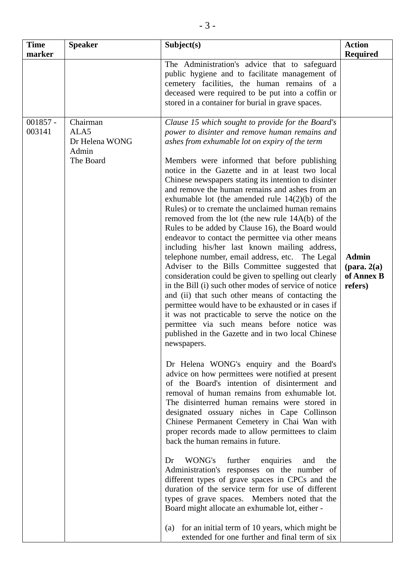| <b>Time</b><br>marker | <b>Speaker</b>                                           | Subject(s)                                                                                                                                                                                                                                                                                                                                                                                                                                                                                                                                                                                                                                                                                                                                                                                                                                                                                                                                                                                                                                                                                                                                                                                                                                                                                                                                                                                                                                                                                                                                                                                                                                                                                                                                                                                                                                                                                                                                                                                                                                                         | <b>Action</b><br><b>Required</b>                                |
|-----------------------|----------------------------------------------------------|--------------------------------------------------------------------------------------------------------------------------------------------------------------------------------------------------------------------------------------------------------------------------------------------------------------------------------------------------------------------------------------------------------------------------------------------------------------------------------------------------------------------------------------------------------------------------------------------------------------------------------------------------------------------------------------------------------------------------------------------------------------------------------------------------------------------------------------------------------------------------------------------------------------------------------------------------------------------------------------------------------------------------------------------------------------------------------------------------------------------------------------------------------------------------------------------------------------------------------------------------------------------------------------------------------------------------------------------------------------------------------------------------------------------------------------------------------------------------------------------------------------------------------------------------------------------------------------------------------------------------------------------------------------------------------------------------------------------------------------------------------------------------------------------------------------------------------------------------------------------------------------------------------------------------------------------------------------------------------------------------------------------------------------------------------------------|-----------------------------------------------------------------|
|                       |                                                          | The Administration's advice that to safeguard<br>public hygiene and to facilitate management of<br>cemetery facilities, the human remains of a<br>deceased were required to be put into a coffin or<br>stored in a container for burial in grave spaces.                                                                                                                                                                                                                                                                                                                                                                                                                                                                                                                                                                                                                                                                                                                                                                                                                                                                                                                                                                                                                                                                                                                                                                                                                                                                                                                                                                                                                                                                                                                                                                                                                                                                                                                                                                                                           |                                                                 |
| $001857 -$<br>003141  | Chairman<br>ALA5<br>Dr Helena WONG<br>Admin<br>The Board | Clause 15 which sought to provide for the Board's<br>power to disinter and remove human remains and<br>ashes from exhumable lot on expiry of the term<br>Members were informed that before publishing<br>notice in the Gazette and in at least two local<br>Chinese newspapers stating its intention to disinter<br>and remove the human remains and ashes from an<br>exhumable lot (the amended rule $14(2)(b)$ of the<br>Rules) or to cremate the unclaimed human remains<br>removed from the lot (the new rule 14A(b) of the<br>Rules to be added by Clause 16), the Board would<br>endeavor to contact the permittee via other means<br>including his/her last known mailing address,<br>telephone number, email address, etc. The Legal<br>Adviser to the Bills Committee suggested that<br>consideration could be given to spelling out clearly<br>in the Bill (i) such other modes of service of notice<br>and (ii) that such other means of contacting the<br>permittee would have to be exhausted or in cases if<br>it was not practicable to serve the notice on the<br>permittee via such means before notice was<br>published in the Gazette and in two local Chinese<br>newspapers.<br>Dr Helena WONG's enquiry and the Board's<br>advice on how permittees were notified at present<br>of the Board's intention of disinterment and<br>removal of human remains from exhumable lot.<br>The disinterred human remains were stored in<br>designated ossuary niches in Cape Collinson<br>Chinese Permanent Cemetery in Chai Wan with<br>proper records made to allow permittees to claim<br>back the human remains in future.<br>WONG's further<br>enquiries<br>Dr<br>and<br>the<br>Administration's responses on the number of<br>different types of grave spaces in CPCs and the<br>duration of the service term for use of different<br>types of grave spaces. Members noted that the<br>Board might allocate an exhumable lot, either -<br>for an initial term of 10 years, which might be<br>(a)<br>extended for one further and final term of six | <b>Admin</b><br>$(\text{para. } 2(a))$<br>of Annex B<br>refers) |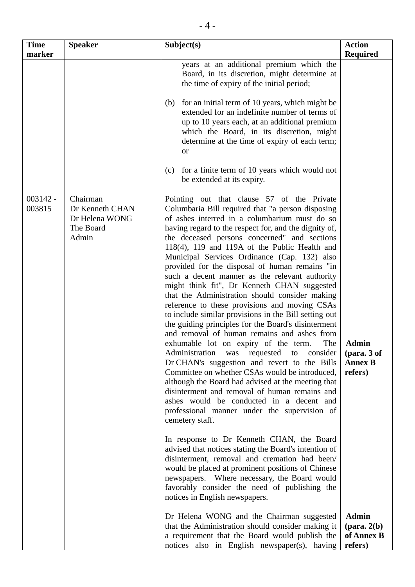| <b>Time</b><br>marker | <b>Speaker</b>                                                      | Subject(s)                                                                                                                                                                                                                                                                                                                                                                                                                                                                                                                                                                                                                                                                                                                                                                                                                                                                                                                                                                                                                                                                                                                                                                                                                                                                                                                                                                                                                                                                                                                                           | <b>Action</b><br><b>Required</b>                                |
|-----------------------|---------------------------------------------------------------------|------------------------------------------------------------------------------------------------------------------------------------------------------------------------------------------------------------------------------------------------------------------------------------------------------------------------------------------------------------------------------------------------------------------------------------------------------------------------------------------------------------------------------------------------------------------------------------------------------------------------------------------------------------------------------------------------------------------------------------------------------------------------------------------------------------------------------------------------------------------------------------------------------------------------------------------------------------------------------------------------------------------------------------------------------------------------------------------------------------------------------------------------------------------------------------------------------------------------------------------------------------------------------------------------------------------------------------------------------------------------------------------------------------------------------------------------------------------------------------------------------------------------------------------------------|-----------------------------------------------------------------|
|                       |                                                                     | years at an additional premium which the<br>Board, in its discretion, might determine at<br>the time of expiry of the initial period;                                                                                                                                                                                                                                                                                                                                                                                                                                                                                                                                                                                                                                                                                                                                                                                                                                                                                                                                                                                                                                                                                                                                                                                                                                                                                                                                                                                                                |                                                                 |
|                       |                                                                     | for an initial term of 10 years, which might be<br>(b)<br>extended for an indefinite number of terms of<br>up to 10 years each, at an additional premium<br>which the Board, in its discretion, might<br>determine at the time of expiry of each term;<br><b>or</b>                                                                                                                                                                                                                                                                                                                                                                                                                                                                                                                                                                                                                                                                                                                                                                                                                                                                                                                                                                                                                                                                                                                                                                                                                                                                                  |                                                                 |
|                       |                                                                     | for a finite term of 10 years which would not<br>(c)<br>be extended at its expiry.                                                                                                                                                                                                                                                                                                                                                                                                                                                                                                                                                                                                                                                                                                                                                                                                                                                                                                                                                                                                                                                                                                                                                                                                                                                                                                                                                                                                                                                                   |                                                                 |
| $003142 -$<br>003815  | Chairman<br>Dr Kenneth CHAN<br>Dr Helena WONG<br>The Board<br>Admin | Pointing out that clause 57 of the Private<br>Columbaria Bill required that "a person disposing<br>of ashes interred in a columbarium must do so<br>having regard to the respect for, and the dignity of,<br>the deceased persons concerned" and sections<br>$118(4)$ , 119 and 119A of the Public Health and<br>Municipal Services Ordinance (Cap. 132) also<br>provided for the disposal of human remains "in<br>such a decent manner as the relevant authority<br>might think fit", Dr Kenneth CHAN suggested<br>that the Administration should consider making<br>reference to these provisions and moving CSAs<br>to include similar provisions in the Bill setting out<br>the guiding principles for the Board's disinterment<br>and removal of human remains and ashes from<br>exhumable lot on expiry of the term.<br>The<br>Administration was requested to consider<br>Dr CHAN's suggestion and revert to the Bills<br>Committee on whether CSAs would be introduced,<br>although the Board had advised at the meeting that<br>disinterment and removal of human remains and<br>ashes would be conducted in a decent and<br>professional manner under the supervision of<br>cemetery staff.<br>In response to Dr Kenneth CHAN, the Board<br>advised that notices stating the Board's intention of<br>disinterment, removal and cremation had been/<br>would be placed at prominent positions of Chinese<br>newspapers. Where necessary, the Board would<br>favorably consider the need of publishing the<br>notices in English newspapers. | <b>Admin</b><br>(para. 3 of<br><b>Annex B</b><br>refers)        |
|                       |                                                                     | Dr Helena WONG and the Chairman suggested<br>that the Administration should consider making it<br>a requirement that the Board would publish the<br>notices also in English newspaper(s), having                                                                                                                                                                                                                                                                                                                                                                                                                                                                                                                                                                                                                                                                                                                                                                                                                                                                                                                                                                                                                                                                                                                                                                                                                                                                                                                                                     | <b>Admin</b><br>$(\text{para. } 2(b))$<br>of Annex B<br>refers) |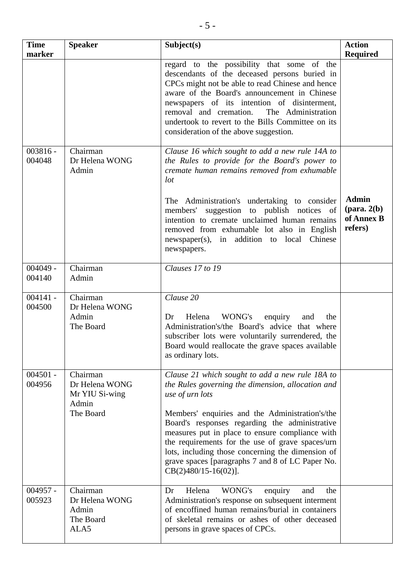| <b>Time</b><br>marker | <b>Speaker</b>                                                     | Subject(s)                                                                                                                                                                                                                                                                                                                                                                                                                                                              | <b>Action</b><br><b>Required</b>                                |
|-----------------------|--------------------------------------------------------------------|-------------------------------------------------------------------------------------------------------------------------------------------------------------------------------------------------------------------------------------------------------------------------------------------------------------------------------------------------------------------------------------------------------------------------------------------------------------------------|-----------------------------------------------------------------|
|                       |                                                                    | regard to the possibility that some of the<br>descendants of the deceased persons buried in<br>CPCs might not be able to read Chinese and hence<br>aware of the Board's announcement in Chinese<br>newspapers of its intention of disinterment,<br>removal and cremation.<br>The Administration<br>undertook to revert to the Bills Committee on its<br>consideration of the above suggestion.                                                                          |                                                                 |
| $003816 -$<br>004048  | Chairman<br>Dr Helena WONG<br>Admin                                | Clause 16 which sought to add a new rule 14A to<br>the Rules to provide for the Board's power to<br>cremate human remains removed from exhumable<br>lot<br>The Administration's undertaking to consider<br>members' suggestion to publish notices of<br>intention to cremate unclaimed human remains<br>removed from exhumable lot also in English<br>newspaper(s), in addition to local Chinese<br>newspapers.                                                         | <b>Admin</b><br>$(\text{para. } 2(b))$<br>of Annex B<br>refers) |
| $004049 -$<br>004140  | Chairman<br>Admin                                                  | Clauses 17 to 19                                                                                                                                                                                                                                                                                                                                                                                                                                                        |                                                                 |
| $004141 -$<br>004500  | Chairman<br>Dr Helena WONG<br>Admin<br>The Board                   | Clause $20$<br>WONG's<br>Helena<br>enquiry<br>and<br>Dr<br>the<br>Administration's/the Board's advice that where<br>subscriber lots were voluntarily surrendered, the<br>Board would reallocate the grave spaces available<br>as ordinary lots.                                                                                                                                                                                                                         |                                                                 |
| $004501 -$<br>004956  | Chairman<br>Dr Helena WONG<br>Mr YIU Si-wing<br>Admin<br>The Board | Clause 21 which sought to add a new rule 18A to<br>the Rules governing the dimension, allocation and<br>use of urn lots<br>Members' enquiries and the Administration's/the<br>Board's responses regarding the administrative<br>measures put in place to ensure compliance with<br>the requirements for the use of grave spaces/urn<br>lots, including those concerning the dimension of<br>grave spaces [paragraphs 7 and 8 of LC Paper No.<br>$CB(2)480/15-16(02)$ ]. |                                                                 |
| $004957 -$<br>005923  | Chairman<br>Dr Helena WONG<br>Admin<br>The Board<br>ALA5           | Helena<br>WONG's<br>Dr<br>enquiry<br>and<br>the<br>Administration's response on subsequent interment<br>of encoffined human remains/burial in containers<br>of skeletal remains or ashes of other deceased<br>persons in grave spaces of CPCs.                                                                                                                                                                                                                          |                                                                 |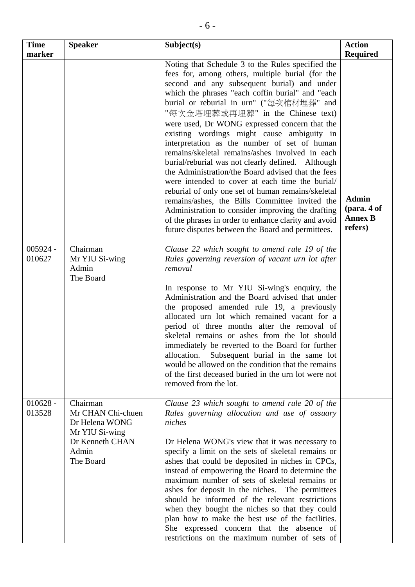| <b>Time</b><br>marker | <b>Speaker</b>                                                                                             | Subject(s)                                                                                                                                                                                                                                                                                                                                                                                                                                                                                                                                                                                                                                                                                                                                                                                                                                                                                                                          | <b>Action</b><br><b>Required</b>                             |
|-----------------------|------------------------------------------------------------------------------------------------------------|-------------------------------------------------------------------------------------------------------------------------------------------------------------------------------------------------------------------------------------------------------------------------------------------------------------------------------------------------------------------------------------------------------------------------------------------------------------------------------------------------------------------------------------------------------------------------------------------------------------------------------------------------------------------------------------------------------------------------------------------------------------------------------------------------------------------------------------------------------------------------------------------------------------------------------------|--------------------------------------------------------------|
|                       |                                                                                                            | Noting that Schedule 3 to the Rules specified the<br>fees for, among others, multiple burial (for the<br>second and any subsequent burial) and under<br>which the phrases "each coffin burial" and "each<br>burial or reburial in urn" ("每次棺材埋葬" and<br>"每次金塔埋葬或再埋葬" in the Chinese text)<br>were used, Dr WONG expressed concern that the<br>existing wordings might cause ambiguity in<br>interpretation as the number of set of human<br>remains/skeletal remains/ashes involved in each<br>burial/reburial was not clearly defined. Although<br>the Administration/the Board advised that the fees<br>were intended to cover at each time the burial/<br>reburial of only one set of human remains/skeletal<br>remains/ashes, the Bills Committee invited the<br>Administration to consider improving the drafting<br>of the phrases in order to enhance clarity and avoid<br>future disputes between the Board and permittees. | <b>Admin</b><br>$1$ (para. 4 of<br><b>Annex B</b><br>refers) |
| $005924 -$<br>010627  | Chairman<br>Mr YIU Si-wing<br>Admin<br>The Board                                                           | Clause 22 which sought to amend rule 19 of the<br>Rules governing reversion of vacant urn lot after<br>removal<br>In response to Mr YIU Si-wing's enquiry, the<br>Administration and the Board advised that under<br>the proposed amended rule 19, a previously<br>allocated urn lot which remained vacant for a<br>period of three months after the removal of<br>skeletal remains or ashes from the lot should<br>immediately be reverted to the Board for further<br>Subsequent burial in the same lot<br>allocation.<br>would be allowed on the condition that the remains<br>of the first deceased buried in the urn lot were not<br>removed from the lot.                                                                                                                                                                                                                                                                     |                                                              |
| $010628 -$<br>013528  | Chairman<br>Mr CHAN Chi-chuen<br>Dr Helena WONG<br>Mr YIU Si-wing<br>Dr Kenneth CHAN<br>Admin<br>The Board | Clause 23 which sought to amend rule 20 of the<br>Rules governing allocation and use of ossuary<br>niches<br>Dr Helena WONG's view that it was necessary to<br>specify a limit on the sets of skeletal remains or<br>ashes that could be deposited in niches in CPCs,<br>instead of empowering the Board to determine the<br>maximum number of sets of skeletal remains or<br>ashes for deposit in the niches. The permittees<br>should be informed of the relevant restrictions<br>when they bought the niches so that they could<br>plan how to make the best use of the facilities.<br>She expressed concern that the absence of<br>restrictions on the maximum number of sets of                                                                                                                                                                                                                                                |                                                              |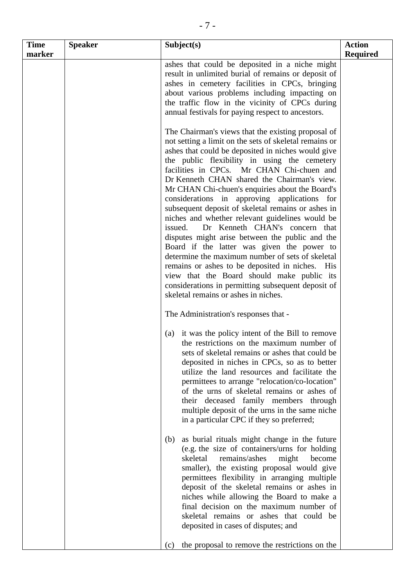| <b>Time</b><br>marker | <b>Speaker</b> | Subject(s)                                                                                                                                                                                                                                                                                                                                                                                                                                                                                                                                                                                                                                                                                                                                                                                                                                                                                                                                                           | <b>Action</b><br><b>Required</b> |
|-----------------------|----------------|----------------------------------------------------------------------------------------------------------------------------------------------------------------------------------------------------------------------------------------------------------------------------------------------------------------------------------------------------------------------------------------------------------------------------------------------------------------------------------------------------------------------------------------------------------------------------------------------------------------------------------------------------------------------------------------------------------------------------------------------------------------------------------------------------------------------------------------------------------------------------------------------------------------------------------------------------------------------|----------------------------------|
|                       |                | ashes that could be deposited in a niche might<br>result in unlimited burial of remains or deposit of<br>ashes in cemetery facilities in CPCs, bringing<br>about various problems including impacting on<br>the traffic flow in the vicinity of CPCs during<br>annual festivals for paying respect to ancestors.                                                                                                                                                                                                                                                                                                                                                                                                                                                                                                                                                                                                                                                     |                                  |
|                       |                | The Chairman's views that the existing proposal of<br>not setting a limit on the sets of skeletal remains or<br>ashes that could be deposited in niches would give<br>the public flexibility in using the cemetery<br>facilities in CPCs. Mr CHAN Chi-chuen and<br>Dr Kenneth CHAN shared the Chairman's view.<br>Mr CHAN Chi-chuen's enquiries about the Board's<br>considerations in approving applications for<br>subsequent deposit of skeletal remains or ashes in<br>niches and whether relevant guidelines would be<br>Dr Kenneth CHAN's concern that<br>issued.<br>disputes might arise between the public and the<br>Board if the latter was given the power to<br>determine the maximum number of sets of skeletal<br>remains or ashes to be deposited in niches. His<br>view that the Board should make public its<br>considerations in permitting subsequent deposit of<br>skeletal remains or ashes in niches.<br>The Administration's responses that - |                                  |
|                       |                | it was the policy intent of the Bill to remove<br>(a)<br>the restrictions on the maximum number of<br>sets of skeletal remains or ashes that could be<br>deposited in niches in CPCs, so as to better<br>utilize the land resources and facilitate the<br>permittees to arrange "relocation/co-location"<br>of the urns of skeletal remains or ashes of<br>their deceased family members through<br>multiple deposit of the urns in the same niche<br>in a particular CPC if they so preferred;                                                                                                                                                                                                                                                                                                                                                                                                                                                                      |                                  |
|                       |                | as burial rituals might change in the future<br>(b)<br>(e.g. the size of containers/urns for holding<br>skeletal<br>remains/ashes<br>might<br>become<br>smaller), the existing proposal would give<br>permittees flexibility in arranging multiple<br>deposit of the skeletal remains or ashes in<br>niches while allowing the Board to make a<br>final decision on the maximum number of<br>skeletal remains or ashes that could be<br>deposited in cases of disputes; and                                                                                                                                                                                                                                                                                                                                                                                                                                                                                          |                                  |
|                       |                | the proposal to remove the restrictions on the<br>(c)                                                                                                                                                                                                                                                                                                                                                                                                                                                                                                                                                                                                                                                                                                                                                                                                                                                                                                                |                                  |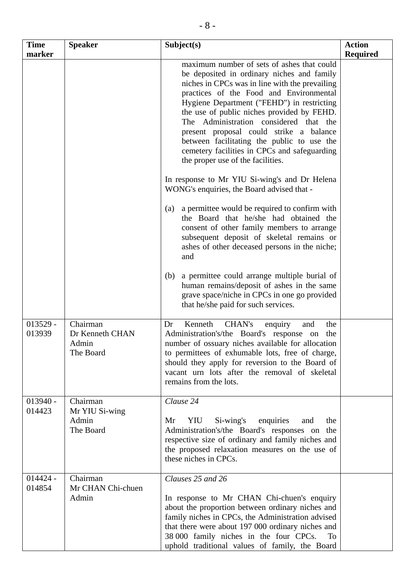| <b>Time</b><br>marker | <b>Speaker</b>                                    | Subject(s)                                                                                                                                                                                                                                                                                                                                                                                                                                                                                                | <b>Action</b><br><b>Required</b> |
|-----------------------|---------------------------------------------------|-----------------------------------------------------------------------------------------------------------------------------------------------------------------------------------------------------------------------------------------------------------------------------------------------------------------------------------------------------------------------------------------------------------------------------------------------------------------------------------------------------------|----------------------------------|
|                       |                                                   | maximum number of sets of ashes that could<br>be deposited in ordinary niches and family<br>niches in CPCs was in line with the prevailing<br>practices of the Food and Environmental<br>Hygiene Department ("FEHD") in restricting<br>the use of public niches provided by FEHD.<br>The Administration considered that the<br>present proposal could strike a balance<br>between facilitating the public to use the<br>cemetery facilities in CPCs and safeguarding<br>the proper use of the facilities. |                                  |
|                       |                                                   | In response to Mr YIU Si-wing's and Dr Helena<br>WONG's enquiries, the Board advised that -                                                                                                                                                                                                                                                                                                                                                                                                               |                                  |
|                       |                                                   | a permittee would be required to confirm with<br>(a)<br>the Board that he/she had obtained the<br>consent of other family members to arrange<br>subsequent deposit of skeletal remains or<br>ashes of other deceased persons in the niche;<br>and                                                                                                                                                                                                                                                         |                                  |
|                       |                                                   | a permittee could arrange multiple burial of<br>(b)<br>human remains/deposit of ashes in the same<br>grave space/niche in CPCs in one go provided<br>that he/she paid for such services.                                                                                                                                                                                                                                                                                                                  |                                  |
| $013529 -$<br>013939  | Chairman<br>Dr Kenneth CHAN<br>Admin<br>The Board | Kenneth<br>CHAN's<br>the<br>Dr<br>and<br>enquiry<br>Administration's/the Board's response on the<br>number of ossuary niches available for allocation<br>to permittees of exhumable lots, free of charge,<br>should they apply for reversion to the Board of<br>vacant urn lots after the removal of skeletal<br>remains from the lots.                                                                                                                                                                   |                                  |
| $013940 -$<br>014423  | Chairman<br>Mr YIU Si-wing<br>Admin<br>The Board  | Clause 24<br>Si-wing's<br>Mr<br>YIU<br>enquiries<br>the<br>and<br>Administration's/the Board's responses on the<br>respective size of ordinary and family niches and<br>the proposed relaxation measures on the use of<br>these niches in CPCs.                                                                                                                                                                                                                                                           |                                  |
| $014424 -$<br>014854  | Chairman<br>Mr CHAN Chi-chuen<br>Admin            | Clauses 25 and 26<br>In response to Mr CHAN Chi-chuen's enquiry<br>about the proportion between ordinary niches and<br>family niches in CPCs, the Administration advised<br>that there were about 197 000 ordinary niches and<br>38 000 family niches in the four CPCs.<br>To<br>uphold traditional values of family, the Board                                                                                                                                                                           |                                  |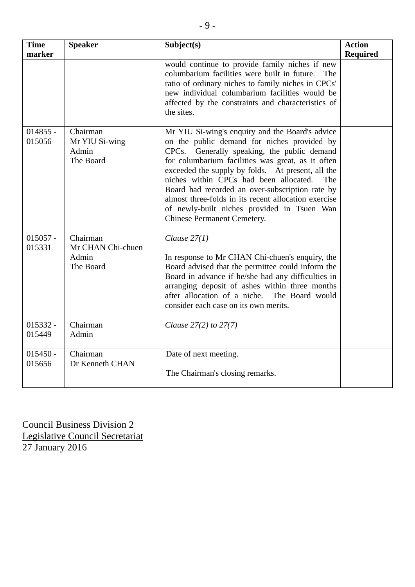| <b>Time</b><br>marker | <b>Speaker</b>                                      | Subject(s)                                                                                                                                                                                                                                                                                                                                                                                                                                                                                                  | <b>Action</b><br><b>Required</b> |
|-----------------------|-----------------------------------------------------|-------------------------------------------------------------------------------------------------------------------------------------------------------------------------------------------------------------------------------------------------------------------------------------------------------------------------------------------------------------------------------------------------------------------------------------------------------------------------------------------------------------|----------------------------------|
|                       |                                                     | would continue to provide family niches if new<br>columbarium facilities were built in future.<br>The<br>ratio of ordinary niches to family niches in CPCs'<br>new individual columbarium facilities would be<br>affected by the constraints and characteristics of<br>the sites.                                                                                                                                                                                                                           |                                  |
| $014855 -$<br>015056  | Chairman<br>Mr YIU Si-wing<br>Admin<br>The Board    | Mr YIU Si-wing's enquiry and the Board's advice<br>on the public demand for niches provided by<br>Generally speaking, the public demand<br>CPCs.<br>for columbarium facilities was great, as it often<br>exceeded the supply by folds. At present, all the<br>niches within CPCs had been allocated.<br><b>The</b><br>Board had recorded an over-subscription rate by<br>almost three-folds in its recent allocation exercise<br>of newly-built niches provided in Tsuen Wan<br>Chinese Permanent Cemetery. |                                  |
| $015057 -$<br>015331  | Chairman<br>Mr CHAN Chi-chuen<br>Admin<br>The Board | Clause $27(1)$<br>In response to Mr CHAN Chi-chuen's enquiry, the<br>Board advised that the permittee could inform the<br>Board in advance if he/she had any difficulties in<br>arranging deposit of ashes within three months<br>after allocation of a niche.<br>The Board would<br>consider each case on its own merits.                                                                                                                                                                                  |                                  |
| $015332 -$<br>015449  | Chairman<br>Admin                                   | Clause $27(2)$ to $27(7)$                                                                                                                                                                                                                                                                                                                                                                                                                                                                                   |                                  |
| $015450 -$<br>015656  | Chairman<br>Dr Kenneth CHAN                         | Date of next meeting.<br>The Chairman's closing remarks.                                                                                                                                                                                                                                                                                                                                                                                                                                                    |                                  |

Council Business Division 2 Legislative Council Secretariat 27 January 2016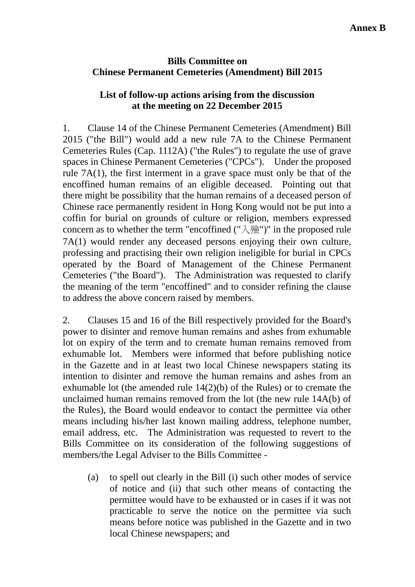#### **Bills Committee on Chinese Permanent Cemeteries (Amendment) Bill 2015**

### **List of follow-up actions arising from the discussion at the meeting on 22 December 2015**

1. Clause 14 of the Chinese Permanent Cemeteries (Amendment) Bill 2015 ("the Bill") would add a new rule 7A to the Chinese Permanent Cemeteries Rules (Cap. 1112A) ("the Rules") to regulate the use of grave spaces in Chinese Permanent Cemeteries ("CPCs"). Under the proposed rule 7A(1), the first interment in a grave space must only be that of the encoffined human remains of an eligible deceased. Pointing out that there might be possibility that the human remains of a deceased person of Chinese race permanently resident in Hong Kong would not be put into a coffin for burial on grounds of culture or religion, members expressed concern as to whether the term "encoffined  $("入}})$ " in the proposed rule 7A(1) would render any deceased persons enjoying their own culture, professing and practising their own religion ineligible for burial in CPCs operated by the Board of Management of the Chinese Permanent Cemeteries ("the Board"). The Administration was requested to clarify the meaning of the term "encoffined" and to consider refining the clause to address the above concern raised by members.

2. Clauses 15 and 16 of the Bill respectively provided for the Board's power to disinter and remove human remains and ashes from exhumable lot on expiry of the term and to cremate human remains removed from exhumable lot. Members were informed that before publishing notice in the Gazette and in at least two local Chinese newspapers stating its intention to disinter and remove the human remains and ashes from an exhumable lot (the amended rule 14(2)(b) of the Rules) or to cremate the unclaimed human remains removed from the lot (the new rule 14A(b) of the Rules), the Board would endeavor to contact the permittee via other means including his/her last known mailing address, telephone number, email address, etc. The Administration was requested to revert to the Bills Committee on its consideration of the following suggestions of members/the Legal Adviser to the Bills Committee -

(a) to spell out clearly in the Bill (i) such other modes of service of notice and (ii) that such other means of contacting the permittee would have to be exhausted or in cases if it was not practicable to serve the notice on the permittee via such means before notice was published in the Gazette and in two local Chinese newspapers; and